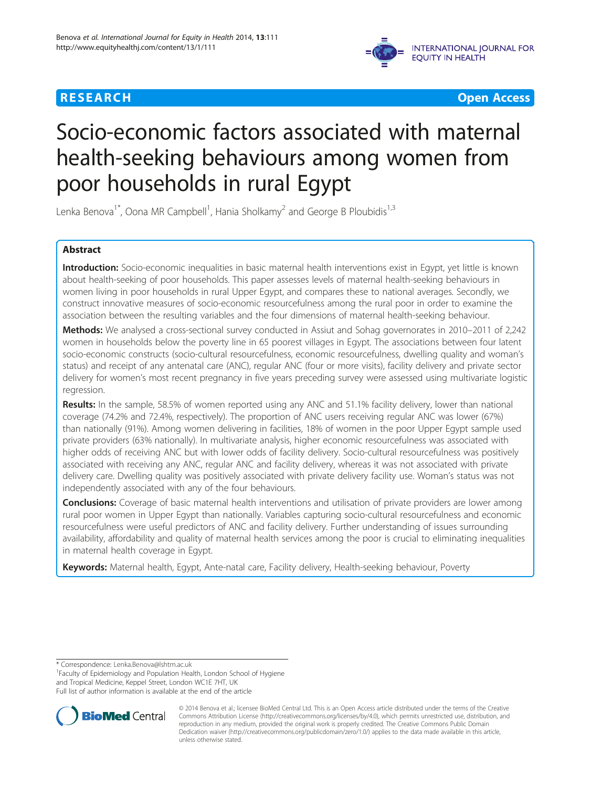# **RESEARCH CHILD CONTROL** CONTROL CONTROL CONTROL CONTROL CONTROL CONTROL CONTROL CONTROL CONTROL CONTROL CONTROL CONTROL CONTROL CONTROL CONTROL CONTROL CONTROL CONTROL CONTROL CONTROL CONTROL CONTROL CONTROL CONTROL CONTR



# Socio-economic factors associated with maternal health-seeking behaviours among women from poor households in rural Egypt

Lenka Benova $^{\text{1*}}$ , Oona MR Campbell $^{\text{1}}$ , Hania Sholkamy $^{\text{2}}$  and George B Ploubidis $^{\text{1,3}}$ 

# Abstract

Introduction: Socio-economic inequalities in basic maternal health interventions exist in Egypt, yet little is known about health-seeking of poor households. This paper assesses levels of maternal health-seeking behaviours in women living in poor households in rural Upper Egypt, and compares these to national averages. Secondly, we construct innovative measures of socio-economic resourcefulness among the rural poor in order to examine the association between the resulting variables and the four dimensions of maternal health-seeking behaviour.

Methods: We analysed a cross-sectional survey conducted in Assiut and Sohag governorates in 2010–2011 of 2,242 women in households below the poverty line in 65 poorest villages in Egypt. The associations between four latent socio-economic constructs (socio-cultural resourcefulness, economic resourcefulness, dwelling quality and woman's status) and receipt of any antenatal care (ANC), regular ANC (four or more visits), facility delivery and private sector delivery for women's most recent pregnancy in five years preceding survey were assessed using multivariate logistic regression.

Results: In the sample, 58.5% of women reported using any ANC and 51.1% facility delivery, lower than national coverage (74.2% and 72.4%, respectively). The proportion of ANC users receiving regular ANC was lower (67%) than nationally (91%). Among women delivering in facilities, 18% of women in the poor Upper Egypt sample used private providers (63% nationally). In multivariate analysis, higher economic resourcefulness was associated with higher odds of receiving ANC but with lower odds of facility delivery. Socio-cultural resourcefulness was positively associated with receiving any ANC, regular ANC and facility delivery, whereas it was not associated with private delivery care. Dwelling quality was positively associated with private delivery facility use. Woman's status was not independently associated with any of the four behaviours.

**Conclusions:** Coverage of basic maternal health interventions and utilisation of private providers are lower among rural poor women in Upper Egypt than nationally. Variables capturing socio-cultural resourcefulness and economic resourcefulness were useful predictors of ANC and facility delivery. Further understanding of issues surrounding availability, affordability and quality of maternal health services among the poor is crucial to eliminating inequalities in maternal health coverage in Egypt.

Keywords: Maternal health, Egypt, Ante-natal care, Facility delivery, Health-seeking behaviour, Poverty

\* Correspondence: [Lenka.Benova@lshtm.ac.uk](mailto:Lenka.Benova@lshtm.ac.uk) <sup>1</sup>

<sup>1</sup>Faculty of Epidemiology and Population Health, London School of Hygiene and Tropical Medicine, Keppel Street, London WC1E 7HT, UK Full list of author information is available at the end of the article



© 2014 Benova et al.; licensee BioMed Central Ltd. This is an Open Access article distributed under the terms of the Creative Commons Attribution License [\(http://creativecommons.org/licenses/by/4.0\)](http://creativecommons.org/licenses/by/4.0), which permits unrestricted use, distribution, and reproduction in any medium, provided the original work is properly credited. The Creative Commons Public Domain Dedication waiver [\(http://creativecommons.org/publicdomain/zero/1.0/](http://creativecommons.org/publicdomain/zero/1.0/)) applies to the data made available in this article, unless otherwise stated.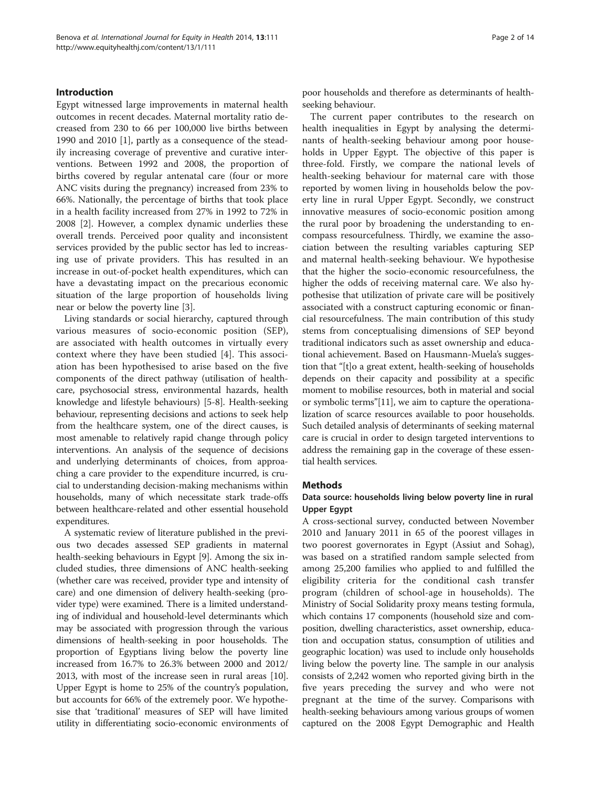#### Introduction

Egypt witnessed large improvements in maternal health outcomes in recent decades. Maternal mortality ratio decreased from 230 to 66 per 100,000 live births between 1990 and 2010 [[1\]](#page-12-0), partly as a consequence of the steadily increasing coverage of preventive and curative interventions. Between 1992 and 2008, the proportion of births covered by regular antenatal care (four or more ANC visits during the pregnancy) increased from 23% to 66%. Nationally, the percentage of births that took place in a health facility increased from 27% in 1992 to 72% in 2008 [[2\]](#page-12-0). However, a complex dynamic underlies these overall trends. Perceived poor quality and inconsistent services provided by the public sector has led to increasing use of private providers. This has resulted in an increase in out-of-pocket health expenditures, which can have a devastating impact on the precarious economic situation of the large proportion of households living near or below the poverty line [[3](#page-12-0)].

Living standards or social hierarchy, captured through various measures of socio-economic position (SEP), are associated with health outcomes in virtually every context where they have been studied [[4\]](#page-12-0). This association has been hypothesised to arise based on the five components of the direct pathway (utilisation of healthcare, psychosocial stress, environmental hazards, health knowledge and lifestyle behaviours) [[5](#page-12-0)-[8\]](#page-12-0). Health-seeking behaviour, representing decisions and actions to seek help from the healthcare system, one of the direct causes, is most amenable to relatively rapid change through policy interventions. An analysis of the sequence of decisions and underlying determinants of choices, from approaching a care provider to the expenditure incurred, is crucial to understanding decision-making mechanisms within households, many of which necessitate stark trade-offs between healthcare-related and other essential household expenditures.

A systematic review of literature published in the previous two decades assessed SEP gradients in maternal health-seeking behaviours in Egypt [\[9](#page-12-0)]. Among the six included studies, three dimensions of ANC health-seeking (whether care was received, provider type and intensity of care) and one dimension of delivery health-seeking (provider type) were examined. There is a limited understanding of individual and household-level determinants which may be associated with progression through the various dimensions of health-seeking in poor households. The proportion of Egyptians living below the poverty line increased from 16.7% to 26.3% between 2000 and 2012/ 2013, with most of the increase seen in rural areas [[10](#page-12-0)]. Upper Egypt is home to 25% of the country's population, but accounts for 66% of the extremely poor. We hypothesise that 'traditional' measures of SEP will have limited utility in differentiating socio-economic environments of

poor households and therefore as determinants of healthseeking behaviour.

The current paper contributes to the research on health inequalities in Egypt by analysing the determinants of health-seeking behaviour among poor households in Upper Egypt. The objective of this paper is three-fold. Firstly, we compare the national levels of health-seeking behaviour for maternal care with those reported by women living in households below the poverty line in rural Upper Egypt. Secondly, we construct innovative measures of socio-economic position among the rural poor by broadening the understanding to encompass resourcefulness. Thirdly, we examine the association between the resulting variables capturing SEP and maternal health-seeking behaviour. We hypothesise that the higher the socio-economic resourcefulness, the higher the odds of receiving maternal care. We also hypothesise that utilization of private care will be positively associated with a construct capturing economic or financial resourcefulness. The main contribution of this study stems from conceptualising dimensions of SEP beyond traditional indicators such as asset ownership and educational achievement. Based on Hausmann-Muela's suggestion that "[t]o a great extent, health-seeking of households depends on their capacity and possibility at a specific moment to mobilise resources, both in material and social or symbolic terms"[[11](#page-12-0)], we aim to capture the operationalization of scarce resources available to poor households. Such detailed analysis of determinants of seeking maternal care is crucial in order to design targeted interventions to address the remaining gap in the coverage of these essential health services.

#### **Methods**

# Data source: households living below poverty line in rural Upper Egypt

A cross-sectional survey, conducted between November 2010 and January 2011 in 65 of the poorest villages in two poorest governorates in Egypt (Assiut and Sohag), was based on a stratified random sample selected from among 25,200 families who applied to and fulfilled the eligibility criteria for the conditional cash transfer program (children of school-age in households). The Ministry of Social Solidarity proxy means testing formula, which contains 17 components (household size and composition, dwelling characteristics, asset ownership, education and occupation status, consumption of utilities and geographic location) was used to include only households living below the poverty line. The sample in our analysis consists of 2,242 women who reported giving birth in the five years preceding the survey and who were not pregnant at the time of the survey. Comparisons with health-seeking behaviours among various groups of women captured on the 2008 Egypt Demographic and Health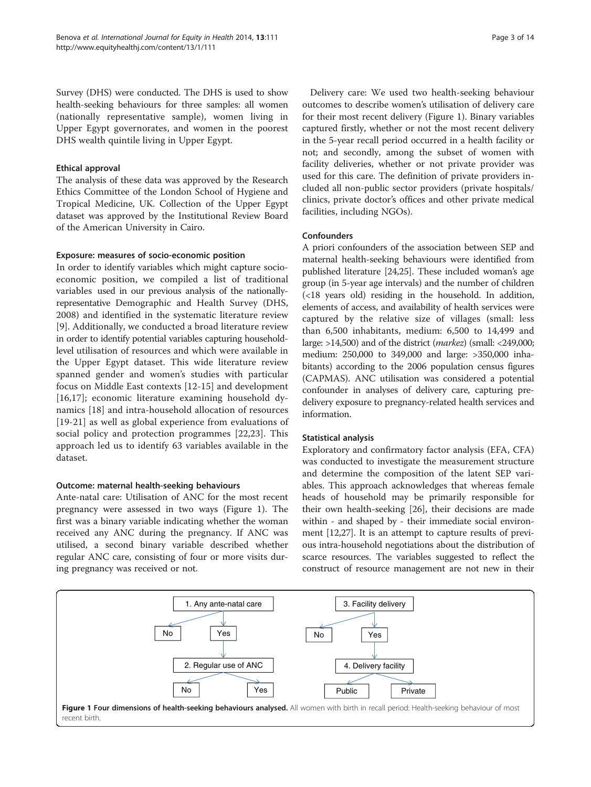Survey (DHS) were conducted. The DHS is used to show health-seeking behaviours for three samples: all women (nationally representative sample), women living in Upper Egypt governorates, and women in the poorest DHS wealth quintile living in Upper Egypt.

#### Ethical approval

The analysis of these data was approved by the Research Ethics Committee of the London School of Hygiene and Tropical Medicine, UK. Collection of the Upper Egypt dataset was approved by the Institutional Review Board of the American University in Cairo.

#### Exposure: measures of socio-economic position

In order to identify variables which might capture socioeconomic position, we compiled a list of traditional variables used in our previous analysis of the nationallyrepresentative Demographic and Health Survey (DHS, 2008) and identified in the systematic literature review [[9\]](#page-12-0). Additionally, we conducted a broad literature review in order to identify potential variables capturing householdlevel utilisation of resources and which were available in the Upper Egypt dataset. This wide literature review spanned gender and women's studies with particular focus on Middle East contexts [[12-15\]](#page-12-0) and development [[16,17](#page-12-0)]; economic literature examining household dynamics [\[18](#page-12-0)] and intra-household allocation of resources [[19-21\]](#page-12-0) as well as global experience from evaluations of social policy and protection programmes [\[22,23](#page-12-0)]. This approach led us to identify 63 variables available in the dataset.

#### Outcome: maternal health-seeking behaviours

Ante-natal care: Utilisation of ANC for the most recent pregnancy were assessed in two ways (Figure 1). The first was a binary variable indicating whether the woman received any ANC during the pregnancy. If ANC was utilised, a second binary variable described whether regular ANC care, consisting of four or more visits during pregnancy was received or not.

Delivery care: We used two health-seeking behaviour outcomes to describe women's utilisation of delivery care for their most recent delivery (Figure 1). Binary variables captured firstly, whether or not the most recent delivery in the 5-year recall period occurred in a health facility or not; and secondly, among the subset of women with facility deliveries, whether or not private provider was used for this care. The definition of private providers included all non-public sector providers (private hospitals/ clinics, private doctor's offices and other private medical facilities, including NGOs).

#### **Confounders**

A priori confounders of the association between SEP and maternal health-seeking behaviours were identified from published literature [[24,25\]](#page-12-0). These included woman's age group (in 5-year age intervals) and the number of children (<18 years old) residing in the household. In addition, elements of access, and availability of health services were captured by the relative size of villages (small: less than 6,500 inhabitants, medium: 6,500 to 14,499 and large:  $>14,500$ ) and of the district (*markez*) (small:  $<249,000$ ; medium: 250,000 to 349,000 and large: >350,000 inhabitants) according to the 2006 population census figures (CAPMAS). ANC utilisation was considered a potential confounder in analyses of delivery care, capturing predelivery exposure to pregnancy-related health services and information.

#### Statistical analysis

Exploratory and confirmatory factor analysis (EFA, CFA) was conducted to investigate the measurement structure and determine the composition of the latent SEP variables. This approach acknowledges that whereas female heads of household may be primarily responsible for their own health-seeking [[26\]](#page-12-0), their decisions are made within - and shaped by - their immediate social environment [\[12,](#page-12-0)[27](#page-13-0)]. It is an attempt to capture results of previous intra-household negotiations about the distribution of scarce resources. The variables suggested to reflect the construct of resource management are not new in their

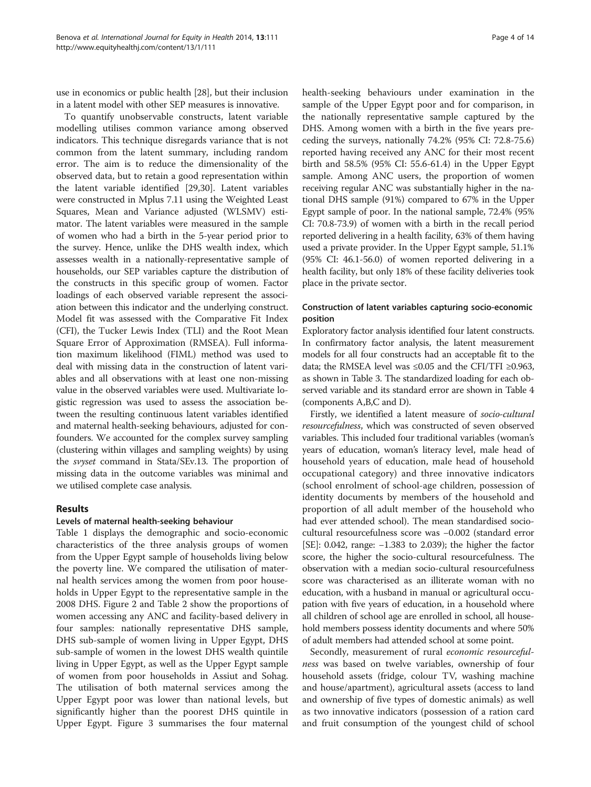use in economics or public health [[28](#page-13-0)], but their inclusion in a latent model with other SEP measures is innovative.

To quantify unobservable constructs, latent variable modelling utilises common variance among observed indicators. This technique disregards variance that is not common from the latent summary, including random error. The aim is to reduce the dimensionality of the observed data, but to retain a good representation within the latent variable identified [[29,30\]](#page-13-0). Latent variables were constructed in Mplus 7.11 using the Weighted Least Squares, Mean and Variance adjusted (WLSMV) estimator. The latent variables were measured in the sample of women who had a birth in the 5-year period prior to the survey. Hence, unlike the DHS wealth index, which assesses wealth in a nationally-representative sample of households, our SEP variables capture the distribution of the constructs in this specific group of women. Factor loadings of each observed variable represent the association between this indicator and the underlying construct. Model fit was assessed with the Comparative Fit Index (CFI), the Tucker Lewis Index (TLI) and the Root Mean Square Error of Approximation (RMSEA). Full information maximum likelihood (FIML) method was used to deal with missing data in the construction of latent variables and all observations with at least one non-missing value in the observed variables were used. Multivariate logistic regression was used to assess the association between the resulting continuous latent variables identified and maternal health-seeking behaviours, adjusted for confounders. We accounted for the complex survey sampling (clustering within villages and sampling weights) by using the svyset command in Stata/SEv.13. The proportion of missing data in the outcome variables was minimal and we utilised complete case analysis.

## Results

#### Levels of maternal health-seeking behaviour

Table [1](#page-4-0) displays the demographic and socio-economic characteristics of the three analysis groups of women from the Upper Egypt sample of households living below the poverty line. We compared the utilisation of maternal health services among the women from poor households in Upper Egypt to the representative sample in the 2008 DHS. Figure [2](#page-5-0) and Table [2](#page-5-0) show the proportions of women accessing any ANC and facility-based delivery in four samples: nationally representative DHS sample, DHS sub-sample of women living in Upper Egypt, DHS sub-sample of women in the lowest DHS wealth quintile living in Upper Egypt, as well as the Upper Egypt sample of women from poor households in Assiut and Sohag. The utilisation of both maternal services among the Upper Egypt poor was lower than national levels, but significantly higher than the poorest DHS quintile in Upper Egypt. Figure [3](#page-6-0) summarises the four maternal health-seeking behaviours under examination in the sample of the Upper Egypt poor and for comparison, in the nationally representative sample captured by the DHS. Among women with a birth in the five years preceding the surveys, nationally 74.2% (95% CI: 72.8-75.6) reported having received any ANC for their most recent birth and 58.5% (95% CI: 55.6-61.4) in the Upper Egypt sample. Among ANC users, the proportion of women receiving regular ANC was substantially higher in the national DHS sample (91%) compared to 67% in the Upper Egypt sample of poor. In the national sample, 72.4% (95% CI: 70.8-73.9) of women with a birth in the recall period reported delivering in a health facility, 63% of them having used a private provider. In the Upper Egypt sample, 51.1% (95% CI: 46.1-56.0) of women reported delivering in a health facility, but only 18% of these facility deliveries took place in the private sector.

## Construction of latent variables capturing socio-economic position

Exploratory factor analysis identified four latent constructs. In confirmatory factor analysis, the latent measurement models for all four constructs had an acceptable fit to the data; the RMSEA level was ≤0.05 and the CFI/TFI ≥0.963, as shown in Table [3](#page-6-0). The standardized loading for each observed variable and its standard error are shown in Table [4](#page-7-0) (components A,B,C and D).

Firstly, we identified a latent measure of socio-cultural resourcefulness, which was constructed of seven observed variables. This included four traditional variables (woman's years of education, woman's literacy level, male head of household years of education, male head of household occupational category) and three innovative indicators (school enrolment of school-age children, possession of identity documents by members of the household and proportion of all adult member of the household who had ever attended school). The mean standardised sociocultural resourcefulness score was −0.002 (standard error [SE]: 0.042, range: −1.383 to 2.039); the higher the factor score, the higher the socio-cultural resourcefulness. The observation with a median socio-cultural resourcefulness score was characterised as an illiterate woman with no education, with a husband in manual or agricultural occupation with five years of education, in a household where all children of school age are enrolled in school, all household members possess identity documents and where 50% of adult members had attended school at some point.

Secondly, measurement of rural economic resourcefulness was based on twelve variables, ownership of four household assets (fridge, colour TV, washing machine and house/apartment), agricultural assets (access to land and ownership of five types of domestic animals) as well as two innovative indicators (possession of a ration card and fruit consumption of the youngest child of school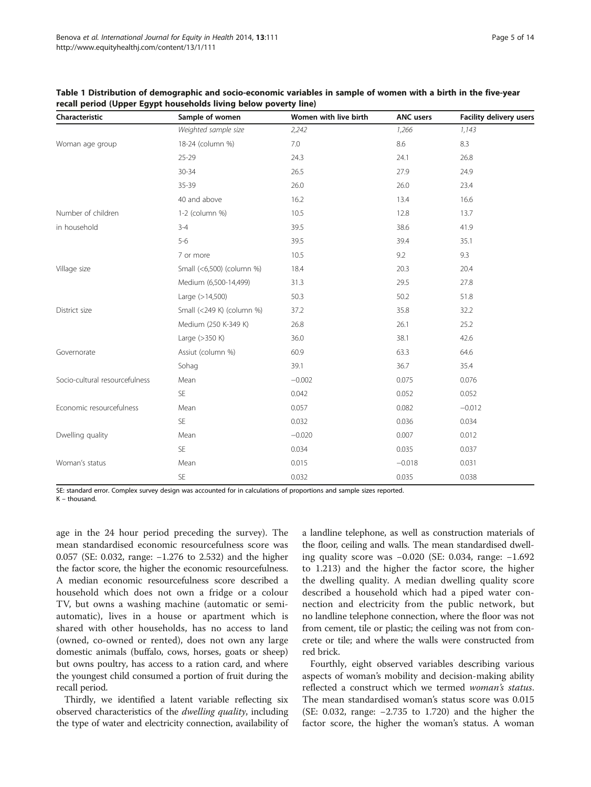| Characteristic                 | Sample of women           | Women with live birth | <b>ANC</b> users | <b>Facility delivery users</b> |
|--------------------------------|---------------------------|-----------------------|------------------|--------------------------------|
|                                | Weighted sample size      | 2,242                 | 1,266            | 1,143                          |
| Woman age group                | 18-24 (column %)          | 7.0                   | 8.6              | 8.3                            |
|                                | $25 - 29$                 | 24.3                  | 24.1             | 26.8                           |
|                                | $30 - 34$                 | 26.5                  | 27.9             | 24.9                           |
|                                | 35-39                     | 26.0                  | 26.0             | 23.4                           |
|                                | 40 and above              | 16.2                  | 13.4             | 16.6                           |
| Number of children             | 1-2 (column %)            | 10.5                  | 12.8             | 13.7                           |
| in household                   | $3 - 4$                   | 39.5                  | 38.6             | 41.9                           |
|                                | $5 - 6$                   | 39.5                  | 39.4             | 35.1                           |
|                                | 7 or more                 | 10.5                  | 9.2              | 9.3                            |
| Village size                   | Small (<6,500) (column %) | 18.4                  | 20.3             | 20.4                           |
|                                | Medium (6,500-14,499)     | 31.3                  | 29.5             | 27.8                           |
|                                | Large $(>14,500)$         | 50.3                  | 50.2             | 51.8                           |
| District size                  | Small (<249 K) (column %) | 37.2                  | 35.8             | 32.2                           |
|                                | Medium (250 K-349 K)      | 26.8                  | 26.1             | 25.2                           |
|                                | Large (>350 K)            | 36.0                  | 38.1             | 42.6                           |
| Governorate                    | Assiut (column %)         | 60.9                  | 63.3             | 64.6                           |
|                                | Sohag                     | 39.1                  | 36.7             | 35.4                           |
| Socio-cultural resourcefulness | Mean                      | $-0.002$              | 0.075            | 0.076                          |
|                                | SE                        | 0.042                 | 0.052            | 0.052                          |
| Economic resourcefulness       | Mean                      | 0.057                 | 0.082            | $-0.012$                       |
|                                | SE                        | 0.032                 | 0.036            | 0.034                          |
| Dwelling quality               | Mean                      | $-0.020$              | 0.007            | 0.012                          |
|                                | SE                        | 0.034                 | 0.035            | 0.037                          |
| Woman's status                 | Mean                      | 0.015                 | $-0.018$         | 0.031                          |
|                                | SE                        | 0.032                 | 0.035            | 0.038                          |

<span id="page-4-0"></span>Table 1 Distribution of demographic and socio-economic variables in sample of women with a birth in the five-year recall period (Upper Egypt households living below poverty line)

SE: standard error. Complex survey design was accounted for in calculations of proportions and sample sizes reported.

K – thousand.

age in the 24 hour period preceding the survey). The mean standardised economic resourcefulness score was 0.057 (SE: 0.032, range: −1.276 to 2.532) and the higher the factor score, the higher the economic resourcefulness. A median economic resourcefulness score described a household which does not own a fridge or a colour TV, but owns a washing machine (automatic or semiautomatic), lives in a house or apartment which is shared with other households, has no access to land (owned, co-owned or rented), does not own any large domestic animals (buffalo, cows, horses, goats or sheep) but owns poultry, has access to a ration card, and where the youngest child consumed a portion of fruit during the recall period.

Thirdly, we identified a latent variable reflecting six observed characteristics of the dwelling quality, including the type of water and electricity connection, availability of a landline telephone, as well as construction materials of the floor, ceiling and walls. The mean standardised dwelling quality score was −0.020 (SE: 0.034, range: −1.692 to 1.213) and the higher the factor score, the higher the dwelling quality. A median dwelling quality score described a household which had a piped water connection and electricity from the public network, but no landline telephone connection, where the floor was not from cement, tile or plastic; the ceiling was not from concrete or tile; and where the walls were constructed from red brick.

Fourthly, eight observed variables describing various aspects of woman's mobility and decision-making ability reflected a construct which we termed woman's status. The mean standardised woman's status score was 0.015 (SE: 0.032, range: −2.735 to 1.720) and the higher the factor score, the higher the woman's status. A woman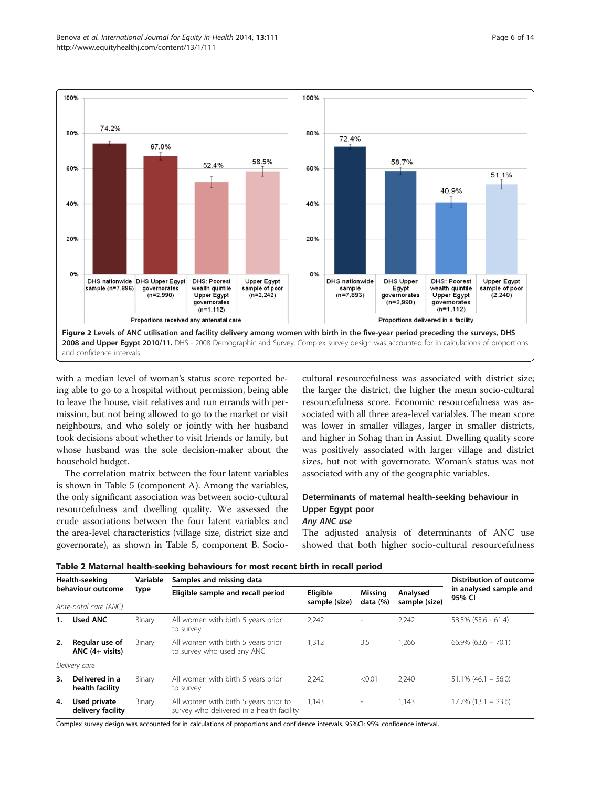<span id="page-5-0"></span>

with a median level of woman's status score reported being able to go to a hospital without permission, being able to leave the house, visit relatives and run errands with permission, but not being allowed to go to the market or visit neighbours, and who solely or jointly with her husband took decisions about whether to visit friends or family, but whose husband was the sole decision-maker about the household budget.

The correlation matrix between the four latent variables is shown in Table [5](#page-9-0) (component A). Among the variables, the only significant association was between socio-cultural resourcefulness and dwelling quality. We assessed the crude associations between the four latent variables and the area-level characteristics (village size, district size and governorate), as shown in Table [5,](#page-9-0) component B. Socio-

cultural resourcefulness was associated with district size; the larger the district, the higher the mean socio-cultural resourcefulness score. Economic resourcefulness was associated with all three area-level variables. The mean score was lower in smaller villages, larger in smaller districts, and higher in Sohag than in Assiut. Dwelling quality score was positively associated with larger village and district sizes, but not with governorate. Woman's status was not associated with any of the geographic variables.

# Determinants of maternal health-seeking behaviour in Upper Egypt poor

#### Any ANC use

The adjusted analysis of determinants of ANC use showed that both higher socio-cultural resourcefulness

| Variable<br>Health-seeking |                                     |        | Samples and missing data                                                           | Distribution of outcome     |                          |               |                                  |  |
|----------------------------|-------------------------------------|--------|------------------------------------------------------------------------------------|-----------------------------|--------------------------|---------------|----------------------------------|--|
| behaviour outcome<br>type  |                                     |        | Eligible sample and recall period                                                  | Eligible                    | Missina                  | Analysed      | in analysed sample and<br>95% CI |  |
|                            | Ante-natal care (ANC)               |        |                                                                                    | sample (size)<br>data $(%)$ |                          | sample (size) |                                  |  |
|                            | <b>Used ANC</b>                     | Binary | All women with birth 5 years prior<br>to survey                                    | 2,242                       |                          | 2.242         | $58.5\%$ (55.6 - 61.4)           |  |
| 2.                         | Regular use of<br>$ANC (4+ visits)$ | Binary | All women with birth 5 years prior<br>to survey who used any ANC                   | 1,312                       | 3.5                      | 1,266         | $66.9\%$ $(63.6 - 70.1)$         |  |
|                            | Delivery care                       |        |                                                                                    |                             |                          |               |                                  |  |
| 3.                         | Delivered in a<br>health facility   | Binary | All women with birth 5 years prior<br>to survey                                    | 2.242                       | < 0.01                   | 2.240         | $51.1\%$ (46.1 - 56.0)           |  |
| 4.                         | Used private<br>delivery facility   | Binary | All women with birth 5 years prior to<br>survey who delivered in a health facility | 1.143                       | $\overline{\phantom{a}}$ | 1.143         | $17.7\%$ (13.1 - 23.6)           |  |

#### Table 2 Maternal health-seeking behaviours for most recent birth in recall period

Complex survey design was accounted for in calculations of proportions and confidence intervals. 95%CI: 95% confidence interval.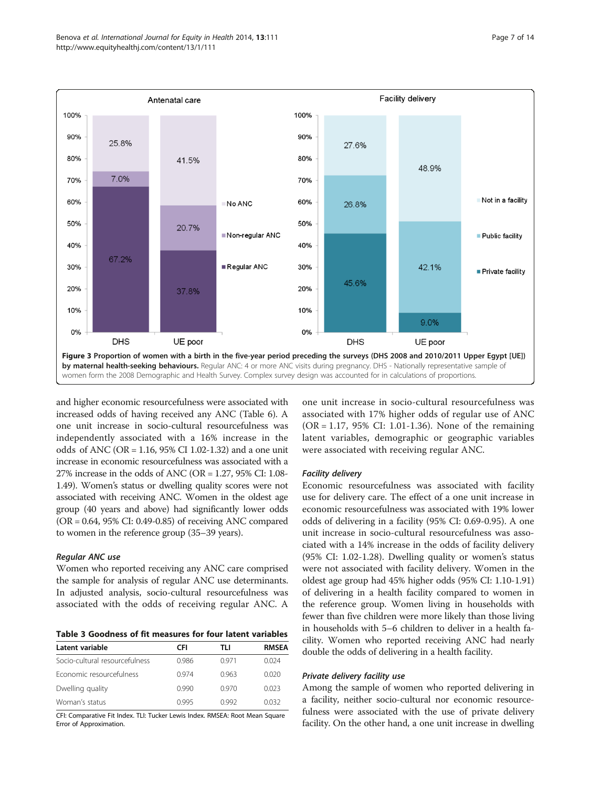<span id="page-6-0"></span>

and higher economic resourcefulness were associated with increased odds of having received any ANC (Table [6\)](#page-10-0). A one unit increase in socio-cultural resourcefulness was independently associated with a 16% increase in the odds of ANC (OR = 1.16, 95% CI 1.02-1.32) and a one unit increase in economic resourcefulness was associated with a 27% increase in the odds of ANC (OR = 1.27, 95% CI: 1.08- 1.49). Women's status or dwelling quality scores were not associated with receiving ANC. Women in the oldest age group (40 years and above) had significantly lower odds  $(OR = 0.64, 95\% \text{ CI: } 0.49 - 0.85)$  of receiving ANC compared to women in the reference group (35–39 years).

#### Regular ANC use

Women who reported receiving any ANC care comprised the sample for analysis of regular ANC use determinants. In adjusted analysis, socio-cultural resourcefulness was associated with the odds of receiving regular ANC. A

Table 3 Goodness of fit measures for four latent variables

| Latent variable                | CFI   | TLI   | <b>RMSEA</b> |
|--------------------------------|-------|-------|--------------|
| Socio-cultural resourcefulness | 0.986 | 0971  | 0.024        |
| Economic resourcefulness       | 0974  | 0.963 | 0.020        |
| Dwelling quality               | O 990 | 0.970 | 0.023        |
| Woman's status                 | 0995  | 0.992 | 0032         |

CFI: Comparative Fit Index. TLI: Tucker Lewis Index. RMSEA: Root Mean Square Error of Approximation.

one unit increase in socio-cultural resourcefulness was associated with 17% higher odds of regular use of ANC (OR = 1.17, 95% CI: 1.01-1.36). None of the remaining latent variables, demographic or geographic variables were associated with receiving regular ANC.

#### Facility delivery

Economic resourcefulness was associated with facility use for delivery care. The effect of a one unit increase in economic resourcefulness was associated with 19% lower odds of delivering in a facility (95% CI: 0.69-0.95). A one unit increase in socio-cultural resourcefulness was associated with a 14% increase in the odds of facility delivery (95% CI: 1.02-1.28). Dwelling quality or women's status were not associated with facility delivery. Women in the oldest age group had 45% higher odds (95% CI: 1.10-1.91) of delivering in a health facility compared to women in the reference group. Women living in households with fewer than five children were more likely than those living in households with 5–6 children to deliver in a health facility. Women who reported receiving ANC had nearly double the odds of delivering in a health facility.

#### Private delivery facility use

Among the sample of women who reported delivering in a facility, neither socio-cultural nor economic resourcefulness were associated with the use of private delivery facility. On the other hand, a one unit increase in dwelling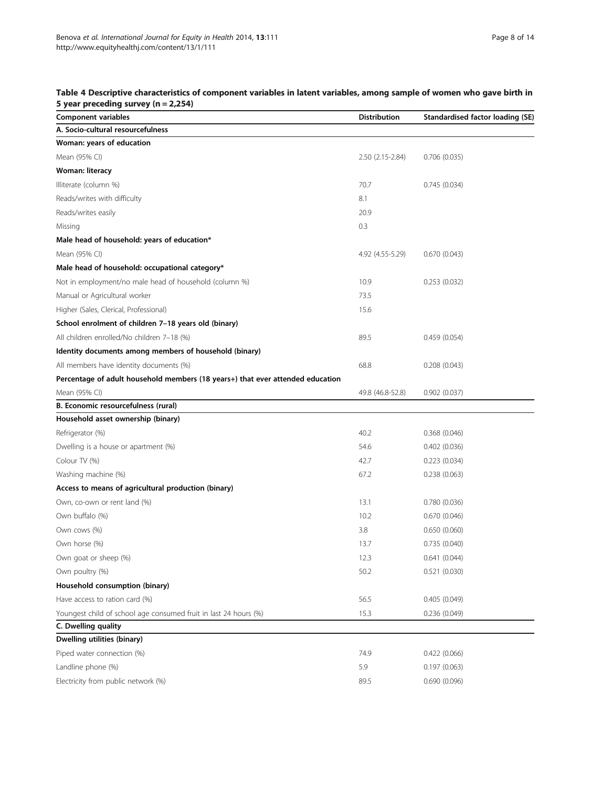| <b>Component variables</b>                                                     | <b>Distribution</b> | <b>Standardised factor loading (SE)</b> |
|--------------------------------------------------------------------------------|---------------------|-----------------------------------------|
| A. Socio-cultural resourcefulness                                              |                     |                                         |
| Woman: years of education                                                      |                     |                                         |
| Mean (95% CI)                                                                  | 2.50 (2.15-2.84)    | 0.706(0.035)                            |
| Woman: literacy                                                                |                     |                                         |
| Illiterate (column %)                                                          | 70.7                | 0.745(0.034)                            |
| Reads/writes with difficulty                                                   | 8.1                 |                                         |
| Reads/writes easily                                                            | 20.9                |                                         |
| Missing                                                                        | 0.3                 |                                         |
| Male head of household: years of education*                                    |                     |                                         |
| Mean (95% CI)                                                                  | 4.92 (4.55-5.29)    | 0.670(0.043)                            |
| Male head of household: occupational category*                                 |                     |                                         |
| Not in employment/no male head of household (column %)                         | 10.9                | 0.253(0.032)                            |
| Manual or Agricultural worker                                                  | 73.5                |                                         |
| Higher (Sales, Clerical, Professional)                                         | 15.6                |                                         |
| School enrolment of children 7-18 years old (binary)                           |                     |                                         |
| All children enrolled/No children 7-18 (%)                                     | 89.5                | 0.459(0.054)                            |
| Identity documents among members of household (binary)                         |                     |                                         |
| All members have identity documents (%)                                        | 68.8                | 0.208(0.043)                            |
| Percentage of adult household members (18 years+) that ever attended education |                     |                                         |
| Mean (95% CI)                                                                  | 49.8 (46.8-52.8)    | 0.902(0.037)                            |
| B. Economic resourcefulness (rural)                                            |                     |                                         |
| Household asset ownership (binary)                                             |                     |                                         |
| Refrigerator (%)                                                               | 40.2                | 0.368(0.046)                            |
| Dwelling is a house or apartment (%)                                           | 54.6                | 0.402(0.036)                            |
| Colour TV (%)                                                                  | 42.7                | 0.223(0.034)                            |
| Washing machine (%)                                                            | 67.2                | 0.238(0.063)                            |
| Access to means of agricultural production (binary)                            |                     |                                         |
| Own, co-own or rent land (%)                                                   | 13.1                | 0.780(0.036)                            |
| Own buffalo (%)                                                                | 10.2                | 0.670(0.046)                            |
| Own cows (%)                                                                   | 3.8                 | 0.650(0.060)                            |
| Own horse (%)                                                                  | 13.7                | 0.735(0.040)                            |
| Own goat or sheep (%)                                                          | 12.3                | 0.641(0.044)                            |
| Own poultry (%)                                                                | 50.2                | 0.521(0.030)                            |
| Household consumption (binary)                                                 |                     |                                         |
| Have access to ration card (%)                                                 | 56.5                | 0.405(0.049)                            |
| Youngest child of school age consumed fruit in last 24 hours (%)               | 15.3                | 0.236(0.049)                            |
| C. Dwelling quality                                                            |                     |                                         |
| Dwelling utilities (binary)                                                    |                     |                                         |
| Piped water connection (%)                                                     | 74.9                | 0.422(0.066)                            |
| Landline phone (%)                                                             | 5.9                 | 0.197(0.063)                            |
| Electricity from public network (%)                                            | 89.5                | 0.690(0.096)                            |

## <span id="page-7-0"></span>Table 4 Descriptive characteristics of component variables in latent variables, among sample of women who gave birth in 5 year preceding survey (n = 2,254)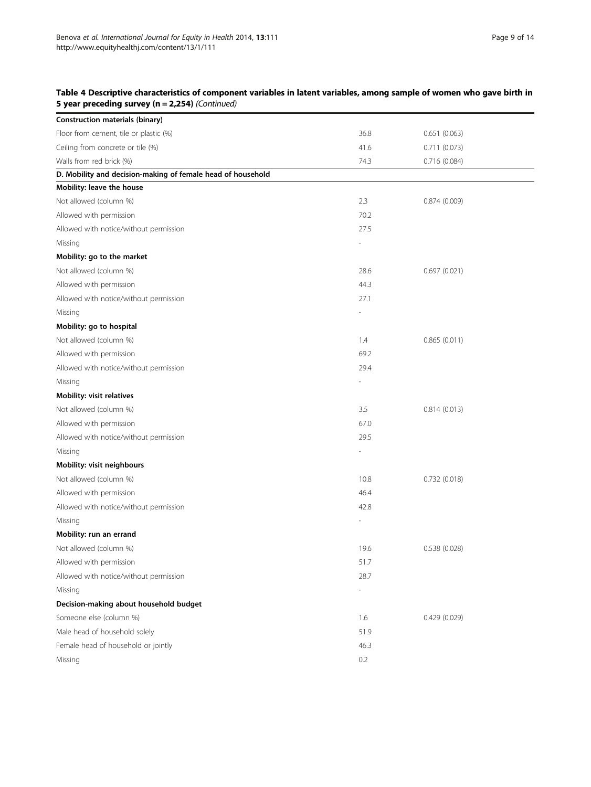| Construction materials (binary)                             |      |               |  |
|-------------------------------------------------------------|------|---------------|--|
| Floor from cement, tile or plastic (%)                      | 36.8 | 0.651(0.063)  |  |
| Ceiling from concrete or tile (%)                           | 41.6 | 0.711(0.073)  |  |
| Walls from red brick (%)                                    | 74.3 | 0.716 (0.084) |  |
| D. Mobility and decision-making of female head of household |      |               |  |
| Mobility: leave the house                                   |      |               |  |
| Not allowed (column %)                                      | 2.3  | 0.874(0.009)  |  |
| Allowed with permission                                     | 70.2 |               |  |
| Allowed with notice/without permission                      | 27.5 |               |  |
| Missing                                                     |      |               |  |
| Mobility: go to the market                                  |      |               |  |
| Not allowed (column %)                                      | 28.6 | 0.697(0.021)  |  |
| Allowed with permission                                     | 44.3 |               |  |
| Allowed with notice/without permission                      | 27.1 |               |  |
| Missing                                                     |      |               |  |
| Mobility: go to hospital                                    |      |               |  |
| Not allowed (column %)                                      | 1.4  | 0.865(0.011)  |  |
| Allowed with permission                                     | 69.2 |               |  |
| Allowed with notice/without permission                      | 29.4 |               |  |
| Missing                                                     |      |               |  |
| Mobility: visit relatives                                   |      |               |  |
| Not allowed (column %)                                      | 3.5  | 0.814(0.013)  |  |
| Allowed with permission                                     | 67.0 |               |  |
| Allowed with notice/without permission                      | 29.5 |               |  |
| Missing                                                     |      |               |  |
| Mobility: visit neighbours                                  |      |               |  |
| Not allowed (column %)                                      | 10.8 | 0.732(0.018)  |  |
| Allowed with permission                                     | 46.4 |               |  |
| Allowed with notice/without permission                      | 42.8 |               |  |
| Missing                                                     |      |               |  |
| Mobility: run an errand                                     |      |               |  |
| Not allowed (column %)                                      | 19.6 | 0.538 (0.028) |  |
| Allowed with permission                                     | 51.7 |               |  |
| Allowed with notice/without permission                      | 28.7 |               |  |
| Missing                                                     |      |               |  |
| Decision-making about household budget                      |      |               |  |
| Someone else (column %)                                     | 1.6  | 0.429(0.029)  |  |
| Male head of household solely                               | 51.9 |               |  |
| Female head of household or jointly                         | 46.3 |               |  |
| Missing                                                     | 0.2  |               |  |

## Table 4 Descriptive characteristics of component variables in latent variables, among sample of women who gave birth in 5 year preceding survey (n = 2,254) (Continued)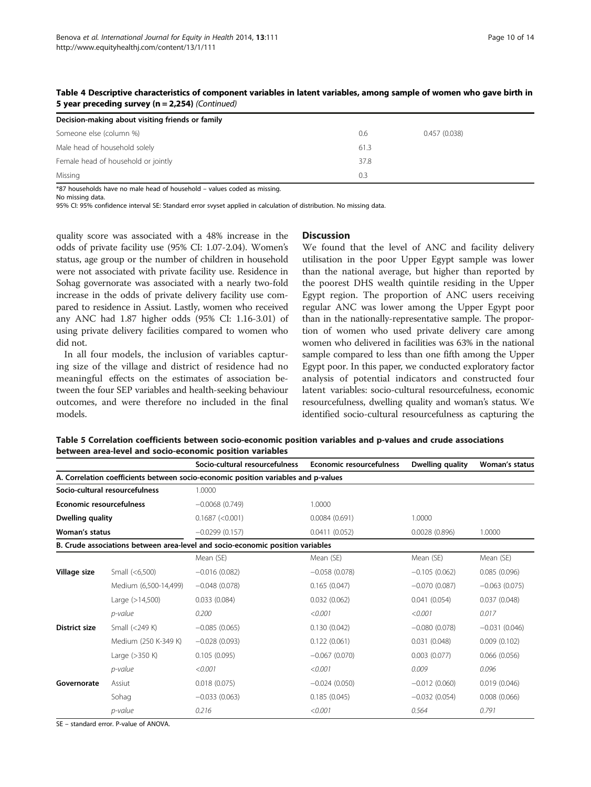| Decision-making about visiting friends or family |      |              |  |
|--------------------------------------------------|------|--------------|--|
| Someone else (column %)                          | 0.6  | 0.457(0.038) |  |
| Male head of household solely                    | 61.3 |              |  |
| Female head of household or jointly              | 37.8 |              |  |
| Missing                                          | 0.3  |              |  |

<span id="page-9-0"></span>Table 4 Descriptive characteristics of component variables in latent variables, among sample of women who gave birth in 5 year preceding survey (n = 2,254) (Continued)

\*87 households have no male head of household – values coded as missing.

No missing data.

95% CI: 95% confidence interval SE: Standard error svyset applied in calculation of distribution. No missing data.

quality score was associated with a 48% increase in the odds of private facility use (95% CI: 1.07-2.04). Women's status, age group or the number of children in household were not associated with private facility use. Residence in Sohag governorate was associated with a nearly two-fold increase in the odds of private delivery facility use compared to residence in Assiut. Lastly, women who received any ANC had 1.87 higher odds (95% CI: 1.16-3.01) of using private delivery facilities compared to women who did not.

In all four models, the inclusion of variables capturing size of the village and district of residence had no meaningful effects on the estimates of association between the four SEP variables and health-seeking behaviour outcomes, and were therefore no included in the final models.

#### **Discussion**

We found that the level of ANC and facility delivery utilisation in the poor Upper Egypt sample was lower than the national average, but higher than reported by the poorest DHS wealth quintile residing in the Upper Egypt region. The proportion of ANC users receiving regular ANC was lower among the Upper Egypt poor than in the nationally-representative sample. The proportion of women who used private delivery care among women who delivered in facilities was 63% in the national sample compared to less than one fifth among the Upper Egypt poor. In this paper, we conducted exploratory factor analysis of potential indicators and constructed four latent variables: socio-cultural resourcefulness, economic resourcefulness, dwelling quality and woman's status. We identified socio-cultural resourcefulness as capturing the

Table 5 Correlation coefficients between socio-economic position variables and p-values and crude associations between area-level and socio-economic position variables

|                                 |                                | Socio-cultural resourcefulness                                                     | <b>Economic resourcefulness</b> | <b>Dwelling quality</b> | <b>Woman's status</b> |
|---------------------------------|--------------------------------|------------------------------------------------------------------------------------|---------------------------------|-------------------------|-----------------------|
|                                 |                                | A. Correlation coefficients between socio-economic position variables and p-values |                                 |                         |                       |
|                                 | Socio-cultural resourcefulness | 1.0000                                                                             |                                 |                         |                       |
| <b>Economic resourcefulness</b> |                                | $-0.0068(0.749)$                                                                   | 1.0000                          |                         |                       |
| Dwelling quality                |                                | $0.1687$ (< $0.001$ )                                                              | 0.0084(0.691)                   | 1.0000                  |                       |
| Woman's status                  |                                | $-0.0299(0.157)$                                                                   | 0.0411(0.052)                   | 0.0028(0.896)           | 1.0000                |
|                                 |                                | B. Crude associations between area-level and socio-economic position variables     |                                 |                         |                       |
|                                 |                                | Mean (SE)                                                                          | Mean (SE)                       | Mean (SE)               | Mean (SE)             |
| Village size                    | Small (<6,500)                 | $-0.016(0.082)$                                                                    | $-0.058(0.078)$                 | $-0.105(0.062)$         | 0.085(0.096)          |
|                                 | Medium (6,500-14,499)          | $-0.048(0.078)$                                                                    | 0.165(0.047)                    | $-0.070(0.087)$         | $-0.063(0.075)$       |
|                                 | Large $(>14,500)$              | 0.033(0.084)                                                                       | 0.032(0.062)                    | 0.041(0.054)            | 0.037(0.048)          |
|                                 | p-value                        | 0.200                                                                              | < 0.001                         | < 0.001                 | 0.017                 |
| District size                   | Small (<249 K)                 | $-0.085(0.065)$                                                                    | 0.130(0.042)                    | $-0.080(0.078)$         | $-0.031(0.046)$       |
|                                 | Medium (250 K-349 K)           | $-0.028(0.093)$                                                                    | 0.122(0.061)                    | 0.031(0.048)            | 0.009(0.102)          |
|                                 | Large (>350 K)                 | 0.105(0.095)                                                                       | $-0.067(0.070)$                 | 0.003(0.077)            | 0.066(0.056)          |
|                                 | p-value                        | < 0.001                                                                            | < 0.001                         | 0.009                   | 0.096                 |
| Governorate                     | Assiut                         | 0.018(0.075)                                                                       | $-0.024(0.050)$                 | $-0.012(0.060)$         | 0.019(0.046)          |
|                                 | Sohag                          | $-0.033(0.063)$                                                                    | 0.185(0.045)                    | $-0.032(0.054)$         | 0.008(0.066)          |
|                                 | p-value                        | 0.216                                                                              | < 0.001                         | 0.564                   | 0.791                 |

SE – standard error. P-value of ANOVA.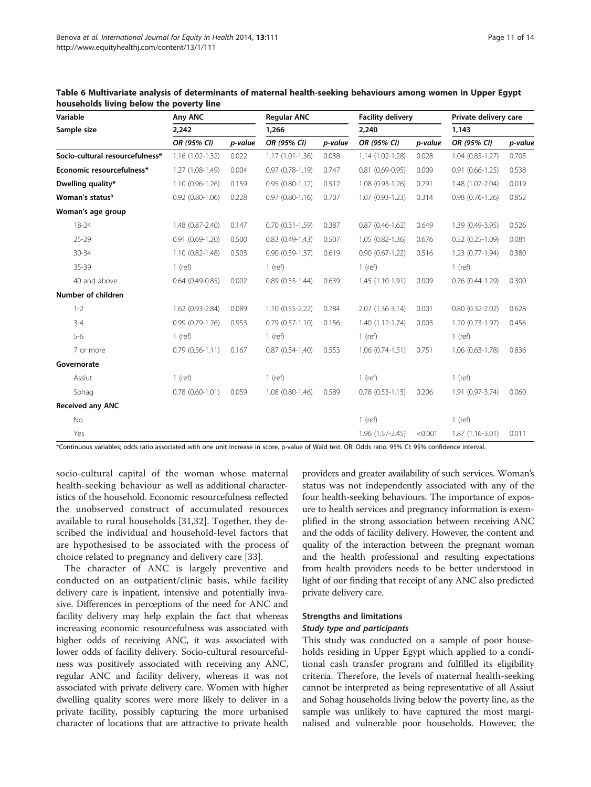| Variable                        | Any ANC                | <b>Regular ANC</b> |                     |         | <b>Facility delivery</b> |         | Private delivery care  |         |
|---------------------------------|------------------------|--------------------|---------------------|---------|--------------------------|---------|------------------------|---------|
| Sample size                     | 2,242                  |                    | 1,266               |         | 2,240                    |         | 1,143                  |         |
|                                 | OR (95% CI)            | p-value            | OR (95% CI)         | p-value | OR (95% CI)              | p-value | OR (95% CI)            | p-value |
| Socio-cultural resourcefulness* | $1.16(1.02 - 1.32)$    | 0.022              | $1.17(1.01 - 1.36)$ | 0.038   | 1.14 (1.02-1.28)         | 0.028   | $1.04(0.85 - 1.27)$    | 0.705   |
| Economic resourcefulness*       | 1.27 (1.08-1.49)       | 0.004              | $0.97(0.78-1.19)$   | 0.747   | $0.81$ $(0.69 - 0.95)$   | 0.009   | $0.91(0.66-1.25)$      | 0.538   |
| Dwelling quality*               | $1.10(0.96 - 1.26)$    | 0.159              | $0.95(0.80-1.12)$   | 0.512   | $1.08(0.93-1.26)$        | 0.291   | 1.48 (1.07-2.04)       | 0.019   |
| Woman's status*                 | $0.92$ $(0.80 - 1.06)$ | 0.228              | $0.97(0.80-1.16)$   | 0.707   | $1.07(0.93-1.23)$        | 0.314   | $0.98(0.76-1.26)$      | 0.852   |
| Woman's age group               |                        |                    |                     |         |                          |         |                        |         |
| 18-24                           | 1.48 (0.87-2.40)       | 0.147              | $0.70(0.31 - 1.59)$ | 0.387   | $0.87(0.46-1.62)$        | 0.649   | 1.39 (0.49-3.95)       | 0.526   |
| $25 - 29$                       | $0.91(0.69-1.20)$      | 0.500              | $0.83(0.49-1.43)$   | 0.507   | $1.05(0.82 - 1.36)$      | 0.676   | $0.52$ (0.25-1.09)     | 0.081   |
| 30-34                           | $1.10(0.82 - 1.48)$    | 0.503              | $0.90(0.59-1.37)$   | 0.619   | $0.90(0.67-1.22)$        | 0.516   | 1.23 (0.77-1.94)       | 0.380   |
| 35-39                           | $1$ (ref)              |                    | $1$ (ref)           |         | $1$ (ref)                |         | $1$ (ref)              |         |
| 40 and above                    | $0.64(0.49 - 0.85)$    | 0.002              | $0.89(0.55 - 1.44)$ | 0.639   | $1.45(1.10-1.91)$        | 0.009   | $0.76$ $(0.44 - 1.29)$ | 0.300   |
| Number of children              |                        |                    |                     |         |                          |         |                        |         |
| $1 - 2$                         | 1.62 (0.93-2.84)       | 0.089              | $1.10(0.55 - 2.22)$ | 0.784   | 2.07 (1.36-3.14)         | 0.001   | $0.80(0.32 - 2.02)$    | 0.628   |
| $3 - 4$                         | $0.99(0.79-1.26)$      | 0.953              | $0.79(0.57-1.10)$   | 0.156   | $1.40(1.12-1.74)$        | 0.003   | 1.20 (0.73-1.97)       | 0.456   |
| $5 - 6$                         | $1$ (ref)              |                    | $1$ (ref)           |         | $1$ (ref)                |         | $1$ (ref)              |         |
| 7 or more                       | $0.79(0.56 - 1.11)$    | 0.167              | $0.87(0.54-1.40)$   | 0.553   | $1.06(0.74-1.51)$        | 0.751   | $1.06(0.63-1.78)$      | 0.836   |
| Governorate                     |                        |                    |                     |         |                          |         |                        |         |
| Assiut                          | $1$ (ref)              |                    | $1$ (ref)           |         | $1$ (ref)                |         | $1$ (ref)              |         |
| Sohag                           | $0.78(0.60-1.01)$      | 0.059              | $1.08(0.80-1.46)$   | 0.589   | $0.78(0.53 - 1.15)$      | 0.206   | 1.91 (0.97-3.74)       | 0.060   |
| Received any ANC                |                        |                    |                     |         |                          |         |                        |         |
| No                              |                        |                    |                     |         | $1$ (ref)                |         | $1$ (ref)              |         |
| Yes                             |                        |                    |                     |         | 1.96 (1.57-2.45)         | < 0.001 | 1.87 (1.16-3.01)       | 0.011   |

<span id="page-10-0"></span>Table 6 Multivariate analysis of determinants of maternal health-seeking behaviours among women in Upper Egypt households living below the poverty line

\*Continuous variables; odds ratio associated with one unit increase in score. p-value of Wald test. OR: Odds ratio. 95% CI: 95% confidence interval.

socio-cultural capital of the woman whose maternal health-seeking behaviour as well as additional characteristics of the household. Economic resourcefulness reflected the unobserved construct of accumulated resources available to rural households [[31,32](#page-13-0)]. Together, they described the individual and household-level factors that are hypothesised to be associated with the process of choice related to pregnancy and delivery care [[33\]](#page-13-0).

The character of ANC is largely preventive and conducted on an outpatient/clinic basis, while facility delivery care is inpatient, intensive and potentially invasive. Differences in perceptions of the need for ANC and facility delivery may help explain the fact that whereas increasing economic resourcefulness was associated with higher odds of receiving ANC, it was associated with lower odds of facility delivery. Socio-cultural resourcefulness was positively associated with receiving any ANC, regular ANC and facility delivery, whereas it was not associated with private delivery care. Women with higher dwelling quality scores were more likely to deliver in a private facility, possibly capturing the more urbanised character of locations that are attractive to private health

providers and greater availability of such services. Woman's status was not independently associated with any of the four health-seeking behaviours. The importance of exposure to health services and pregnancy information is exemplified in the strong association between receiving ANC and the odds of facility delivery. However, the content and quality of the interaction between the pregnant woman and the health professional and resulting expectations from health providers needs to be better understood in light of our finding that receipt of any ANC also predicted private delivery care.

## Strengths and limitations Study type and participants

This study was conducted on a sample of poor households residing in Upper Egypt which applied to a conditional cash transfer program and fulfilled its eligibility criteria. Therefore, the levels of maternal health-seeking cannot be interpreted as being representative of all Assiut and Sohag households living below the poverty line, as the sample was unlikely to have captured the most marginalised and vulnerable poor households. However, the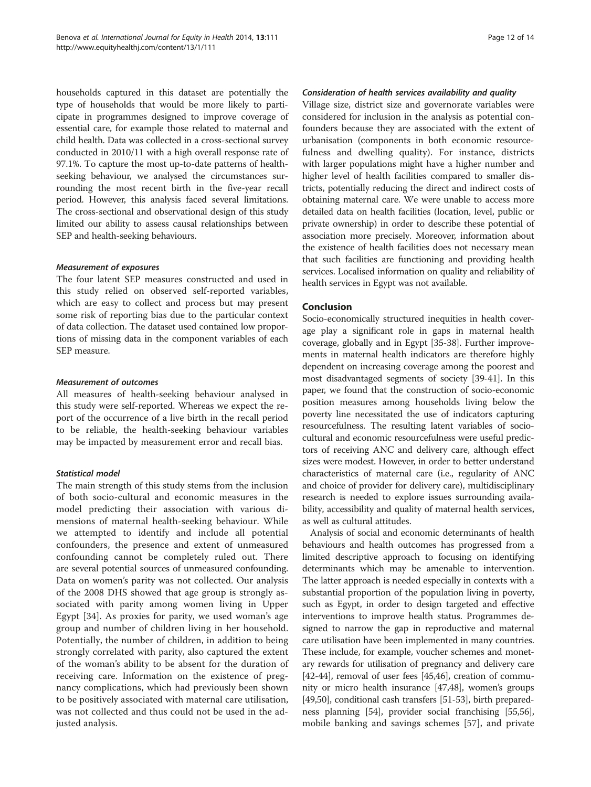households captured in this dataset are potentially the type of households that would be more likely to participate in programmes designed to improve coverage of essential care, for example those related to maternal and child health. Data was collected in a cross-sectional survey conducted in 2010/11 with a high overall response rate of 97.1%. To capture the most up-to-date patterns of healthseeking behaviour, we analysed the circumstances surrounding the most recent birth in the five-year recall period. However, this analysis faced several limitations. The cross-sectional and observational design of this study limited our ability to assess causal relationships between SEP and health-seeking behaviours.

#### Measurement of exposures

The four latent SEP measures constructed and used in this study relied on observed self-reported variables, which are easy to collect and process but may present some risk of reporting bias due to the particular context of data collection. The dataset used contained low proportions of missing data in the component variables of each SEP measure.

#### Measurement of outcomes

All measures of health-seeking behaviour analysed in this study were self-reported. Whereas we expect the report of the occurrence of a live birth in the recall period to be reliable, the health-seeking behaviour variables may be impacted by measurement error and recall bias.

## Statistical model

The main strength of this study stems from the inclusion of both socio-cultural and economic measures in the model predicting their association with various dimensions of maternal health-seeking behaviour. While we attempted to identify and include all potential confounders, the presence and extent of unmeasured confounding cannot be completely ruled out. There are several potential sources of unmeasured confounding. Data on women's parity was not collected. Our analysis of the 2008 DHS showed that age group is strongly associated with parity among women living in Upper Egypt [[34](#page-13-0)]. As proxies for parity, we used woman's age group and number of children living in her household. Potentially, the number of children, in addition to being strongly correlated with parity, also captured the extent of the woman's ability to be absent for the duration of receiving care. Information on the existence of pregnancy complications, which had previously been shown to be positively associated with maternal care utilisation, was not collected and thus could not be used in the adjusted analysis.

#### Consideration of health services availability and quality

Village size, district size and governorate variables were considered for inclusion in the analysis as potential confounders because they are associated with the extent of urbanisation (components in both economic resourcefulness and dwelling quality). For instance, districts with larger populations might have a higher number and higher level of health facilities compared to smaller districts, potentially reducing the direct and indirect costs of obtaining maternal care. We were unable to access more detailed data on health facilities (location, level, public or private ownership) in order to describe these potential of association more precisely. Moreover, information about the existence of health facilities does not necessary mean that such facilities are functioning and providing health services. Localised information on quality and reliability of health services in Egypt was not available.

## Conclusion

Socio-economically structured inequities in health coverage play a significant role in gaps in maternal health coverage, globally and in Egypt [\[35-38](#page-13-0)]. Further improvements in maternal health indicators are therefore highly dependent on increasing coverage among the poorest and most disadvantaged segments of society [[39](#page-13-0)-[41](#page-13-0)]. In this paper, we found that the construction of socio-economic position measures among households living below the poverty line necessitated the use of indicators capturing resourcefulness. The resulting latent variables of sociocultural and economic resourcefulness were useful predictors of receiving ANC and delivery care, although effect sizes were modest. However, in order to better understand characteristics of maternal care (i.e., regularity of ANC and choice of provider for delivery care), multidisciplinary research is needed to explore issues surrounding availability, accessibility and quality of maternal health services, as well as cultural attitudes.

Analysis of social and economic determinants of health behaviours and health outcomes has progressed from a limited descriptive approach to focusing on identifying determinants which may be amenable to intervention. The latter approach is needed especially in contexts with a substantial proportion of the population living in poverty, such as Egypt, in order to design targeted and effective interventions to improve health status. Programmes designed to narrow the gap in reproductive and maternal care utilisation have been implemented in many countries. These include, for example, voucher schemes and monetary rewards for utilisation of pregnancy and delivery care [[42](#page-13-0)-[44\]](#page-13-0), removal of user fees [[45,46\]](#page-13-0), creation of community or micro health insurance [\[47,48](#page-13-0)], women's groups [[49](#page-13-0),[50](#page-13-0)], conditional cash transfers [\[51-53](#page-13-0)], birth preparedness planning [\[54\]](#page-13-0), provider social franchising [\[55,56](#page-13-0)], mobile banking and savings schemes [[57\]](#page-13-0), and private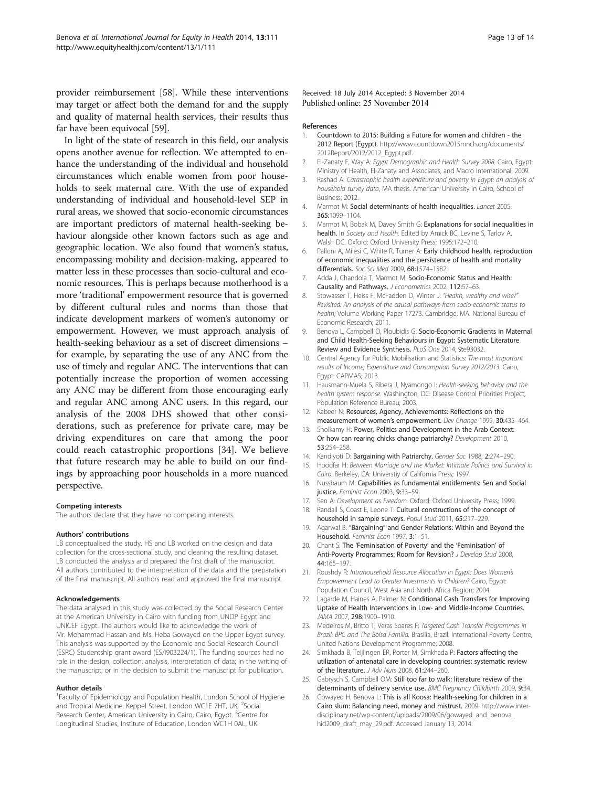<span id="page-12-0"></span>provider reimbursement [[58\]](#page-13-0). While these interventions may target or affect both the demand for and the supply and quality of maternal health services, their results thus far have been equivocal [[59](#page-13-0)].

In light of the state of research in this field, our analysis opens another avenue for reflection. We attempted to enhance the understanding of the individual and household circumstances which enable women from poor households to seek maternal care. With the use of expanded understanding of individual and household-level SEP in rural areas, we showed that socio-economic circumstances are important predictors of maternal health-seeking behaviour alongside other known factors such as age and geographic location. We also found that women's status, encompassing mobility and decision-making, appeared to matter less in these processes than socio-cultural and economic resources. This is perhaps because motherhood is a more 'traditional' empowerment resource that is governed by different cultural rules and norms than those that indicate development markers of women's autonomy or empowerment. However, we must approach analysis of health-seeking behaviour as a set of discreet dimensions – for example, by separating the use of any ANC from the use of timely and regular ANC. The interventions that can potentially increase the proportion of women accessing any ANC may be different from those encouraging early and regular ANC among ANC users. In this regard, our analysis of the 2008 DHS showed that other considerations, such as preference for private care, may be driving expenditures on care that among the poor could reach catastrophic proportions [\[34](#page-13-0)]. We believe that future research may be able to build on our findings by approaching poor households in a more nuanced perspective.

#### Competing interests

The authors declare that they have no competing interests.

#### Authors' contributions

LB conceptualised the study. HS and LB worked on the design and data collection for the cross-sectional study, and cleaning the resulting dataset. LB conducted the analysis and prepared the first draft of the manuscript. All authors contributed to the interpretation of the data and the preparation of the final manuscript. All authors read and approved the final manuscript.

#### Acknowledgements

The data analysed in this study was collected by the Social Research Center at the American University in Cairo with funding from UNDP Egypt and UNICEF Egypt. The authors would like to acknowledge the work of Mr. Mohammad Hassan and Ms. Heba Gowayed on the Upper Egypt survey. This analysis was supported by the Economic and Social Research Council (ESRC) Studentship grant award (ES/I903224/1). The funding sources had no role in the design, collection, analysis, interpretation of data; in the writing of the manuscript; or in the decision to submit the manuscript for publication.

#### Author details

<sup>1</sup>Faculty of Epidemiology and Population Health, London School of Hygiene and Tropical Medicine, Keppel Street, London WC1E 7HT, UK. <sup>2</sup>Social Research Center, American University in Cairo, Cairo, Egypt. <sup>3</sup>Centre for Longitudinal Studies, Institute of Education, London WC1H 0AL, UK.

Received: 18 July 2014 Accepted: 3 November 2014 Published online: 25 November 2014

#### References

- Countdown to 2015: Building a Future for women and children the 2012 Report (Egypt). [http://www.countdown2015mnch.org/documents/](http://www.countdown2015mnch.org/documents/2012Report/2012/2012_Egypt.pdf) [2012Report/2012/2012\\_Egypt.pdf.](http://www.countdown2015mnch.org/documents/2012Report/2012/2012_Egypt.pdf)
- El-Zanaty F, Way A: Egypt Demographic and Health Survey 2008. Cairo, Egypt: Ministry of Health, El-Zanaty and Associates, and Macro International; 2009.
- 3. Rashad A: Catastrophic health expenditure and poverty in Egypt: an analysis of household survey data, MA thesis. American University in Cairo, School of Business; 2012.
- 4. Marmot M: Social determinants of health inequalities. Lancet 2005, 365:1099–1104.
- Marmot M, Bobak M, Davey Smith G: Explanations for social inequalities in health. In Society and Health. Edited by Amick BC, Levine S, Tarlov A, Walsh DC. Oxford: Oxford University Press; 1995:172–210.
- 6. Palloni A, Milesi C, White R, Turner A: Early childhood health, reproduction of economic inequalities and the persistence of health and mortality differentials. Soc Sci Med 2009, 68:1574–1582.
- 7. Adda J, Chandola T, Marmot M: Socio-Economic Status and Health: Causality and Pathways. J Econometrics 2002, 112:57–63.
- 8. Stowasser T, Heiss F, McFadden D, Winter J: "Health, wealthy and wise?" Revisited: An analysis of the causal pathways from socio-economic status to health, Volume Working Paper 17273. Cambridge, MA: National Bureau of Economic Research; 2011.
- 9. Benova L, Campbell O, Ploubidis G: Socio-Economic Gradients in Maternal and Child Health-Seeking Behaviours in Egypt: Systematic Literature Review and Evidence Synthesis. PLoS One 2014, 9:e93032.
- 10. Central Agency for Public Mobilisation and Statistics: The most important results of Income, Expenditure and Consumption Survey 2012/2013. Cairo, Egypt: CAPMAS; 2013.
- 11. Hausmann-Muela S, Ribera J, Nyamongo I: Health-seeking behavior and the health system response. Washington, DC: Disease Control Priorities Project, Population Reference Bureau; 2003.
- 12. Kabeer N: Resources, Agency, Achievements: Reflections on the measurement of women's empowerment. Dev Change 1999, 30:435–464.
- 13. Sholkamy H: Power, Politics and Development in the Arab Context: Or how can rearing chicks change patriarchy? Development 2010, 53:254–258.
- 14. Kandiyoti D: Bargaining with Patriarchy. Gender Soc 1988, 2:274-290.
- 15. Hoodfar H: Between Marriage and the Market: Intimate Politics and Survival in Cairo. Berkeley, CA: Universtiy of California Press; 1997.
- 16. Nussbaum M: Capabilities as fundamental entitlements: Sen and Social justice. Feminist Econ 2003, 9:33-59.
- 17. Sen A: Development as Freedom. Oxford: Oxford University Press; 1999.
- 18. Randall S, Coast E, Leone T: Cultural constructions of the concept of household in sample surveys. Popul Stud 2011, 65:217–229.
- 19. Agarwal B: "Bargaining" and Gender Relations: Within and Beyond the Household. Feminist Econ 1997, 3:1-51.
- 20. Chant S: The 'Feminisation of Poverty' and the 'Feminisation' of Anti-Poverty Programmes: Room for Revision? J Develop Stud 2008, 44:165–197.
- 21. Roushdy R: Intrahousehold Resource Allocation in Egypt: Does Women's Empowerment Lead to Greater Investments in Children? Cairo, Egypt: Population Council, West Asia and North Africa Region; 2004.
- 22. Lagarde M, Haines A, Palmer N: Conditional Cash Transfers for Improving Uptake of Health Interventions in Low- and Middle-Income Countries. JAMA 2007, 298:1900–1910.
- 23. Medeiros M, Britto T, Veras Soares F: Targeted Cash Transfer Programmes in Brazil: BPC and The Bolsa Familia. Brasilia, Brazil: International Poverty Centre, United Nations Development Programme; 2008.
- 24. Simkhada B, Teijlingen ER, Porter M, Simkhada P: Factors affecting the utilization of antenatal care in developing countries: systematic review of the literature. J Adv Nurs 2008, 61:244-260.
- 25. Gabrysch S, Campbell OM: Still too far to walk: literature review of the determinants of delivery service use. BMC Pregnancy Childbirth 2009, 9:34.
- 26. Gowayed H, Benova L: This is all Koosa: Health-seeking for children in a Cairo slum: Balancing need, money and mistrust. 2009. [http://www.inter](http://www.inter-disciplinary.net/wp-content/uploads/2009/06/gowayed_and_benova_hid2009_draft_may_29.pdf)[disciplinary.net/wp-content/uploads/2009/06/gowayed\\_and\\_benova\\_](http://www.inter-disciplinary.net/wp-content/uploads/2009/06/gowayed_and_benova_hid2009_draft_may_29.pdf) [hid2009\\_draft\\_may\\_29.pdf.](http://www.inter-disciplinary.net/wp-content/uploads/2009/06/gowayed_and_benova_hid2009_draft_may_29.pdf) Accessed January 13, 2014.